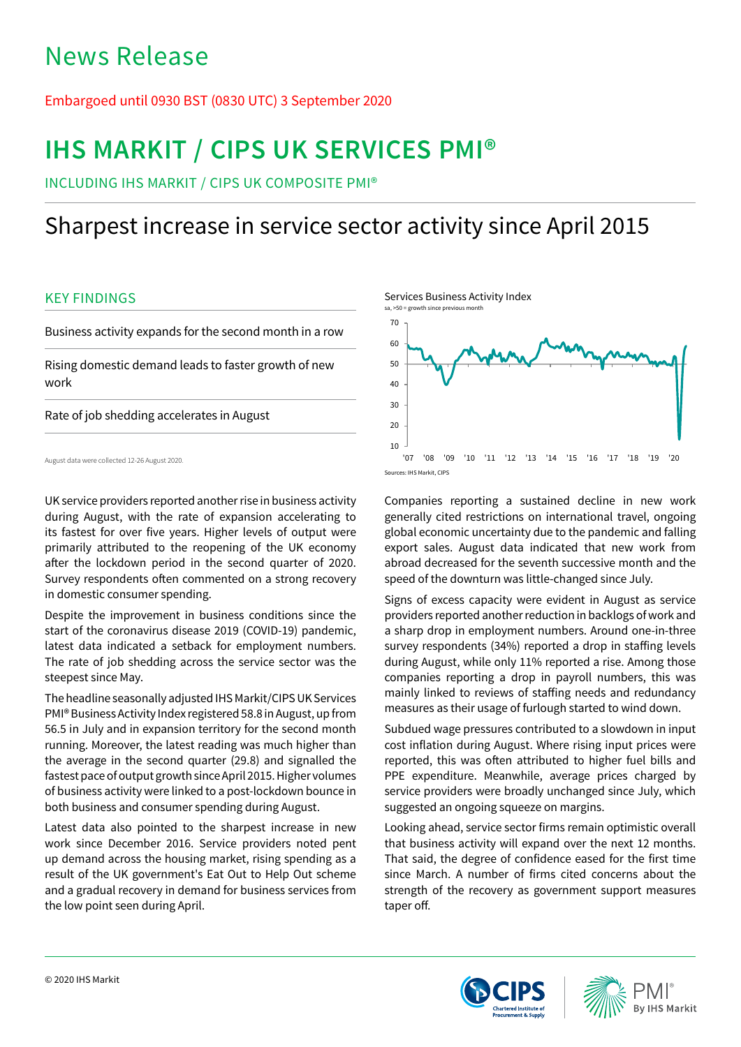# News Release

## Embargoed until 0930 BST (0830 UTC) 3 September 2020

# **IHS MARKIT / CIPS UK SERVICES PMI®**

INCLUDING IHS MARKIT / CIPS UK COMPOSITE PMI®

# Sharpest increase in service sector activity since April 2015

## KEY FINDINGS

Business activity expands for the second month in a row

Rising domestic demand leads to faster growth of new work

Rate of job shedding accelerates in August

August data were collected 12-26 August 2020.

UK service providers reported another rise in business activity during August, with the rate of expansion accelerating to its fastest for over five years. Higher levels of output were primarily attributed to the reopening of the UK economy after the lockdown period in the second quarter of 2020. Survey respondents often commented on a strong recovery in domestic consumer spending.

Despite the improvement in business conditions since the start of the coronavirus disease 2019 (COVID-19) pandemic, latest data indicated a setback for employment numbers. The rate of job shedding across the service sector was the steepest since May.

The headline seasonally adjusted IHS Markit/CIPS UK Services PMI® Business Activity Index registered 58.8 in August, up from 56.5 in July and in expansion territory for the second month running. Moreover, the latest reading was much higher than the average in the second quarter (29.8) and signalled the fastest pace of output growth since April 2015. Higher volumes of business activity were linked to a post-lockdown bounce in both business and consumer spending during August.

Latest data also pointed to the sharpest increase in new work since December 2016. Service providers noted pent up demand across the housing market, rising spending as a result of the UK government's Eat Out to Help Out scheme and a gradual recovery in demand for business services from the low point seen during April.



Companies reporting a sustained decline in new work generally cited restrictions on international travel, ongoing global economic uncertainty due to the pandemic and falling export sales. August data indicated that new work from abroad decreased for the seventh successive month and the speed of the downturn was little-changed since July.

Signs of excess capacity were evident in August as service providers reported another reduction in backlogs of work and a sharp drop in employment numbers. Around one-in-three survey respondents (34%) reported a drop in staffing levels during August, while only 11% reported a rise. Among those companies reporting a drop in payroll numbers, this was mainly linked to reviews of staffing needs and redundancy measures as their usage of furlough started to wind down.

Subdued wage pressures contributed to a slowdown in input cost inflation during August. Where rising input prices were reported, this was often attributed to higher fuel bills and PPE expenditure. Meanwhile, average prices charged by service providers were broadly unchanged since July, which suggested an ongoing squeeze on margins.

Looking ahead, service sector firms remain optimistic overall that business activity will expand over the next 12 months. That said, the degree of confidence eased for the first time since March. A number of firms cited concerns about the strength of the recovery as government support measures taper off.



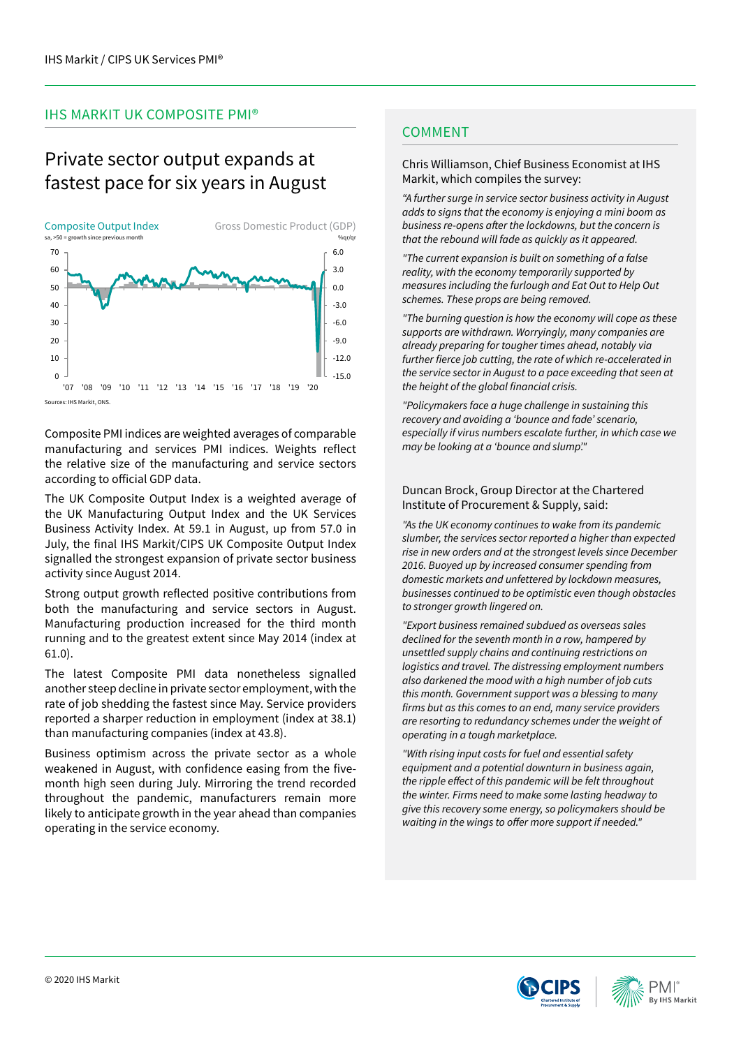### IHS MARKIT UK COMPOSITE PMI®

## Private sector output expands at fastest pace for six years in August



Composite PMI indices are weighted averages of comparable manufacturing and services PMI indices. Weights reflect the relative size of the manufacturing and service sectors according to official GDP data.

The UK Composite Output Index is a weighted average of the UK Manufacturing Output Index and the UK Services Business Activity Index. At 59.1 in August, up from 57.0 in July, the final IHS Markit/CIPS UK Composite Output Index signalled the strongest expansion of private sector business activity since August 2014.

Strong output growth reflected positive contributions from both the manufacturing and service sectors in August. Manufacturing production increased for the third month running and to the greatest extent since May 2014 (index at 61.0).

The latest Composite PMI data nonetheless signalled another steep decline in private sector employment, with the rate of job shedding the fastest since May. Service providers reported a sharper reduction in employment (index at 38.1) than manufacturing companies (index at 43.8).

Business optimism across the private sector as a whole weakened in August, with confidence easing from the fivemonth high seen during July. Mirroring the trend recorded throughout the pandemic, manufacturers remain more likely to anticipate growth in the year ahead than companies operating in the service economy.

## **COMMENT**

Chris Williamson, Chief Business Economist at IHS Markit, which compiles the survey:

*"A further surge in service sector business activity in August adds to signs that the economy is enjoying a mini boom as*  business re-opens after the lockdowns, but the concern is that the rebound will fade as quickly as it appeared.

"The current expansion is built on something of a false reality, with the economy temporarily supported by measures including the furlough and Eat Out to Help Out schemes. These props are being removed.

"The burning question is how the economy will cope as these supports are withdrawn. Worryingly, many companies are already preparing for tougher times ahead, notably via further fierce job cutting, the rate of which re-accelerated in *the service sector in August to a pace exceeding that seen at*  the height of the global financial crisis.

"Policymakers face a huge challenge in sustaining this recovery and avoiding a 'bounce and fade' scenario, especially if virus numbers escalate further, in which case we may be looking at a 'bounce and slump'."

### Duncan Brock, Group Director at the Chartered Institute of Procurement & Supply, said:

"As the UK economy continues to wake from its pandemic slumber, the services sector reported a higher than expected rise in new orders and at the strongest levels since December 2016. Buoyed up by increased consumer spending from domestic markets and unfettered by lockdown measures, businesses continued to be optimistic even though obstacles to stronger growth lingered on.

"Export business remained subdued as overseas sales declined for the seventh month in a row, hampered by unsettled supply chains and continuing restrictions on logistics and travel. The distressing employment numbers also darkened the mood with a high number of job cuts this month. Government support was a blessing to many firms but as this comes to an end, many service providers are resorting to redundancy schemes under the weight of operating in a tough marketplace.

"With rising input costs for fuel and essential safety equipment and a potential downturn in business again, the ripple effect of this pandemic will be felt throughout the winter. Firms need to make some lasting headway to give this recovery some energy, so policymakers should be waiting in the wings to offer more support if needed."